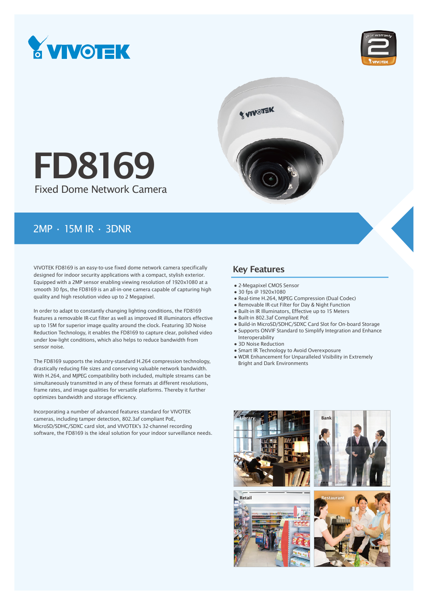





# Fixed Dome Network Camera FD8169

### 2MP • 15M IR • 3DNR

VIVOTEK FD8169 is an easy-to-use fixed dome network camera specifically designed for indoor security applications with a compact, stylish exterior. Equipped with a 2MP sensor enabling viewing resolution of 1920x1080 at a smooth 30 fps, the FD8169 is an all-in-one camera capable of capturing high quality and high resolution video up to 2 Megapixel.

In order to adapt to constantly changing lighting conditions, the FD8169 features a removable IR-cut filter as well as improved IR illuminators effective up to 15M for superior image quality around the clock. Featuring 3D Noise Reduction Technology, it enables the FD8169 to capture clear, polished video under low-light conditions, which also helps to reduce bandwidth from sensor noise.

The FD8169 supports the industry-standard H.264 compression technology, drastically reducing file sizes and conserving valuable network bandwidth. With H.264, and MJPEG compatibility both included, multiple streams can be simultaneously transmitted in any of these formats at different resolutions, frame rates, and image qualities for versatile platforms. Thereby it further optimizes bandwidth and storage efficiency.

Incorporating a number of advanced features standard for VIVOTEK cameras, including tamper detection, 802.3af compliant PoE, MicroSD/SDHC/SDXC card slot, and VIVOTEK's 32-channel recording software, the FD8169 is the ideal solution for your indoor surveillance needs.

### Key Features

- 2-Megapixel CMOS Sensor
- 30 fps @ 1920x1080
- Real-time H.264, MJPEG Compression (Dual Codec)
- Removable IR-cut Filter for Day & Night Function
- Built-in IR Illuminators, Effective up to 15 Meters
- Built-in 802.3af Compliant PoE
- Build-in MicroSD/SDHC/SDXC Card Slot for On-board Storage
- Supports ONVIF Standard to Simplify Integration and Enhance Interoperability
- 3D Noise Reduction
- Smart IR Technology to Avoid Overexposure
- WDR Enhancement for Unparalleled Visibility in Extremely Bright and Dark Environments